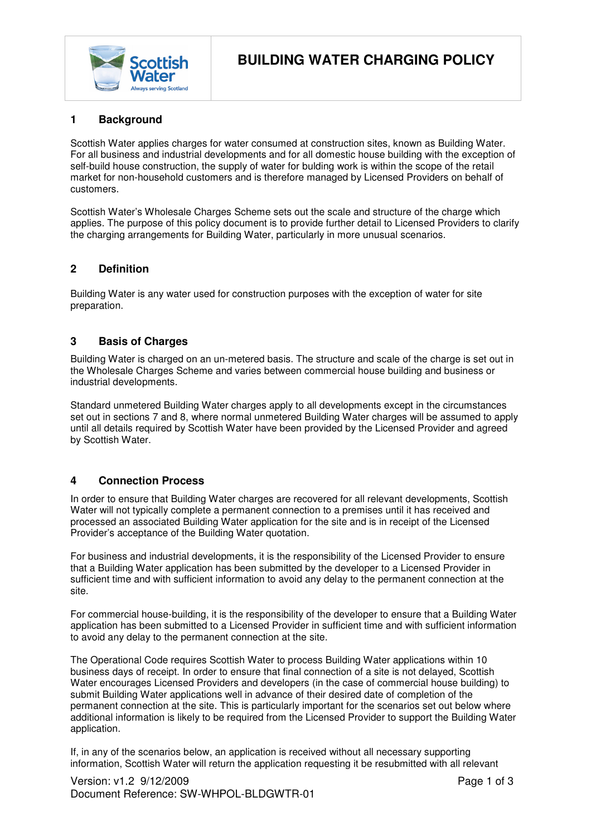

# **1 Background**

Scottish Water applies charges for water consumed at construction sites, known as Building Water. For all business and industrial developments and for all domestic house building with the exception of self-build house construction, the supply of water for bulding work is within the scope of the retail market for non-household customers and is therefore managed by Licensed Providers on behalf of customers.

Scottish Water's Wholesale Charges Scheme sets out the scale and structure of the charge which applies. The purpose of this policy document is to provide further detail to Licensed Providers to clarify the charging arrangements for Building Water, particularly in more unusual scenarios.

### **2 Definition**

Building Water is any water used for construction purposes with the exception of water for site preparation.

## **3 Basis of Charges**

Building Water is charged on an un-metered basis. The structure and scale of the charge is set out in the Wholesale Charges Scheme and varies between commercial house building and business or industrial developments.

Standard unmetered Building Water charges apply to all developments except in the circumstances set out in sections 7 and 8, where normal unmetered Building Water charges will be assumed to apply until all details required by Scottish Water have been provided by the Licensed Provider and agreed by Scottish Water.

### **4 Connection Process**

In order to ensure that Building Water charges are recovered for all relevant developments, Scottish Water will not typically complete a permanent connection to a premises until it has received and processed an associated Building Water application for the site and is in receipt of the Licensed Provider's acceptance of the Building Water quotation.

For business and industrial developments, it is the responsibility of the Licensed Provider to ensure that a Building Water application has been submitted by the developer to a Licensed Provider in sufficient time and with sufficient information to avoid any delay to the permanent connection at the site.

For commercial house-building, it is the responsibility of the developer to ensure that a Building Water application has been submitted to a Licensed Provider in sufficient time and with sufficient information to avoid any delay to the permanent connection at the site.

The Operational Code requires Scottish Water to process Building Water applications within 10 business days of receipt. In order to ensure that final connection of a site is not delayed, Scottish Water encourages Licensed Providers and developers (in the case of commercial house building) to submit Building Water applications well in advance of their desired date of completion of the permanent connection at the site. This is particularly important for the scenarios set out below where additional information is likely to be required from the Licensed Provider to support the Building Water application.

If, in any of the scenarios below, an application is received without all necessary supporting information, Scottish Water will return the application requesting it be resubmitted with all relevant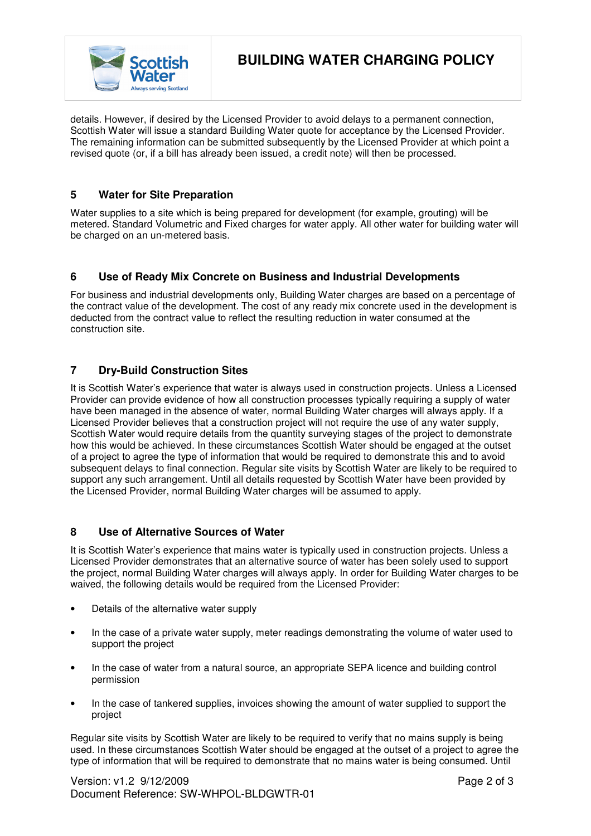

details. However, if desired by the Licensed Provider to avoid delays to a permanent connection, Scottish Water will issue a standard Building Water quote for acceptance by the Licensed Provider. The remaining information can be submitted subsequently by the Licensed Provider at which point a revised quote (or, if a bill has already been issued, a credit note) will then be processed.

# **5 Water for Site Preparation**

Water supplies to a site which is being prepared for development (for example, grouting) will be metered. Standard Volumetric and Fixed charges for water apply. All other water for building water will be charged on an un-metered basis.

## **6 Use of Ready Mix Concrete on Business and Industrial Developments**

For business and industrial developments only, Building Water charges are based on a percentage of the contract value of the development. The cost of any ready mix concrete used in the development is deducted from the contract value to reflect the resulting reduction in water consumed at the construction site.

## **7 Dry-Build Construction Sites**

It is Scottish Water's experience that water is always used in construction projects. Unless a Licensed Provider can provide evidence of how all construction processes typically requiring a supply of water have been managed in the absence of water, normal Building Water charges will always apply. If a Licensed Provider believes that a construction project will not require the use of any water supply, Scottish Water would require details from the quantity surveying stages of the project to demonstrate how this would be achieved. In these circumstances Scottish Water should be engaged at the outset of a project to agree the type of information that would be required to demonstrate this and to avoid subsequent delays to final connection. Regular site visits by Scottish Water are likely to be required to support any such arrangement. Until all details requested by Scottish Water have been provided by the Licensed Provider, normal Building Water charges will be assumed to apply.

### **8 Use of Alternative Sources of Water**

It is Scottish Water's experience that mains water is typically used in construction projects. Unless a Licensed Provider demonstrates that an alternative source of water has been solely used to support the project, normal Building Water charges will always apply. In order for Building Water charges to be waived, the following details would be required from the Licensed Provider:

- Details of the alternative water supply
- In the case of a private water supply, meter readings demonstrating the volume of water used to support the project
- In the case of water from a natural source, an appropriate SEPA licence and building control permission
- In the case of tankered supplies, invoices showing the amount of water supplied to support the project

Regular site visits by Scottish Water are likely to be required to verify that no mains supply is being used. In these circumstances Scottish Water should be engaged at the outset of a project to agree the type of information that will be required to demonstrate that no mains water is being consumed. Until